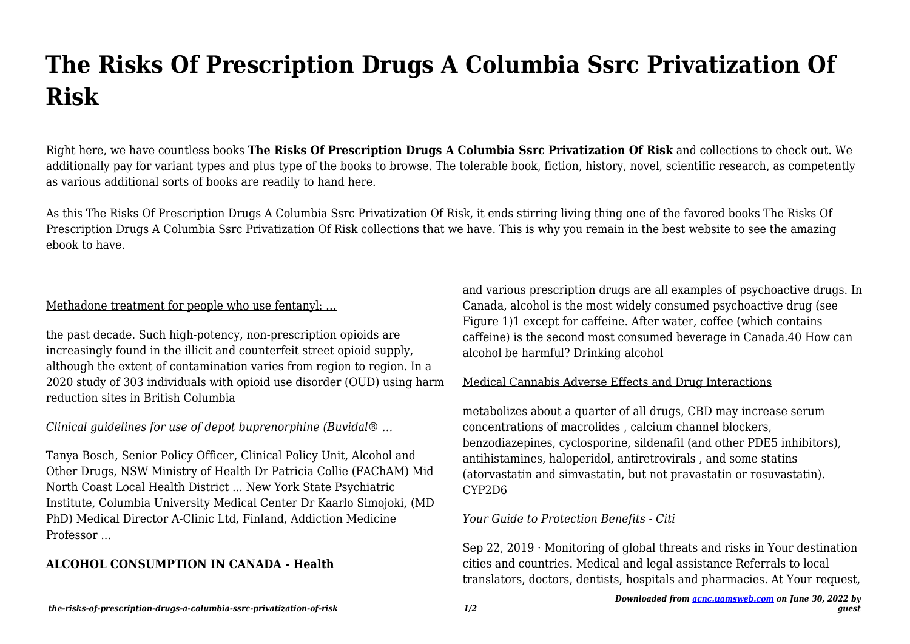# **The Risks Of Prescription Drugs A Columbia Ssrc Privatization Of Risk**

Right here, we have countless books **The Risks Of Prescription Drugs A Columbia Ssrc Privatization Of Risk** and collections to check out. We additionally pay for variant types and plus type of the books to browse. The tolerable book, fiction, history, novel, scientific research, as competently as various additional sorts of books are readily to hand here.

As this The Risks Of Prescription Drugs A Columbia Ssrc Privatization Of Risk, it ends stirring living thing one of the favored books The Risks Of Prescription Drugs A Columbia Ssrc Privatization Of Risk collections that we have. This is why you remain in the best website to see the amazing ebook to have.

## Methadone treatment for people who use fentanyl: …

the past decade. Such high-potency, non-prescription opioids are increasingly found in the illicit and counterfeit street opioid supply, although the extent of contamination varies from region to region. In a 2020 study of 303 individuals with opioid use disorder (OUD) using harm reduction sites in British Columbia

## *Clinical guidelines for use of depot buprenorphine (Buvidal® …*

Tanya Bosch, Senior Policy Officer, Clinical Policy Unit, Alcohol and Other Drugs, NSW Ministry of Health Dr Patricia Collie (FAChAM) Mid North Coast Local Health District ... New York State Psychiatric Institute, Columbia University Medical Center Dr Kaarlo Simojoki, (MD PhD) Medical Director A-Clinic Ltd, Finland, Addiction Medicine Professor ...

# **ALCOHOL CONSUMPTION IN CANADA - Health**

and various prescription drugs are all examples of psychoactive drugs. In Canada, alcohol is the most widely consumed psychoactive drug (see Figure 1)1 except for caffeine. After water, coffee (which contains caffeine) is the second most consumed beverage in Canada.40 How can alcohol be harmful? Drinking alcohol

### Medical Cannabis Adverse Effects and Drug Interactions

metabolizes about a quarter of all drugs, CBD may increase serum concentrations of macrolides , calcium channel blockers, benzodiazepines, cyclosporine, sildenafil (and other PDE5 inhibitors), antihistamines, haloperidol, antiretrovirals , and some statins (atorvastatin and simvastatin, but not pravastatin or rosuvastatin). CYP2D6

### *Your Guide to Protection Benefits - Citi*

Sep 22, 2019  $\cdot$  Monitoring of global threats and risks in Your destination cities and countries. Medical and legal assistance Referrals to local translators, doctors, dentists, hospitals and pharmacies. At Your request,